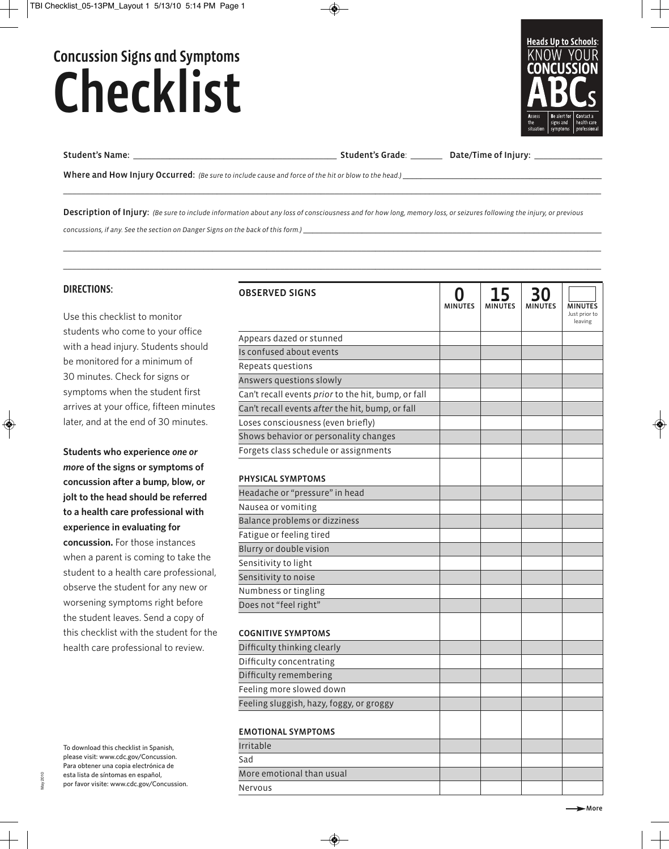# Concussion Signs and Symptoms Checklist



Student's Name: \_\_\_\_\_\_\_\_\_\_\_\_\_\_\_\_\_\_\_\_\_\_\_\_\_\_\_\_\_\_\_\_\_\_\_\_\_\_\_\_\_\_\_\_\_ Student's Grade: \_\_\_\_\_\_\_ Date/Time of Injury: \_\_\_\_\_\_\_\_\_\_\_\_\_\_\_

Where and How Injury Occurred: (Be sure to include cause and force of the hit or blow to the head.)

Description of Injury: (Be sure to include information about any loss of consciousness and for how long, memory loss, or seizures following the injury, or previous

◈

concussions, if any. See the section on Danger Signs on the back of this form.)

### DIRECTIONS:

Use this checklist to monitor students who come to your office with a head injury. Students should be monitored for a minimum of 30 minutes. Check for signs or symptoms when the student first arrives at your office, fifteen minutes later, and at the end of 30 minutes.

**Students who experience** *one or more* **of the signs or symptoms of concussion after a bump, blow, or jolt to the head should be referred to a health care professional with experience in evaluating for concussion.** For those instances when a parent is coming to take the student to a health care professional, observe the student for any new or worsening symptoms right before the student leaves. Send a copy of this checklist with the student for the health care professional to review.

To download this checklist in Spanish, please visit: www.cdc.gov/Concussion. Para obtener una copia electrónica de esta lista de síntomas en español, por favor visite: www.cdc.gov/Concussion.

May 2010

| Just prior to<br>leaving<br>Appears dazed or stunned<br>Is confused about events<br>Repeats questions<br>Answers questions slowly<br>Can't recall events prior to the hit, bump, or fall<br>Can't recall events after the hit, bump, or fall<br>Loses consciousness (even briefly)<br>Shows behavior or personality changes<br>Forgets class schedule or assignments<br><b>PHYSICAL SYMPTOMS</b><br>Headache or "pressure" in head<br>Nausea or vomiting<br>Balance problems or dizziness<br>Fatigue or feeling tired<br>Blurry or double vision<br>Sensitivity to light<br>Sensitivity to noise<br>Numbness or tingling<br>Does not "feel right"<br><b>COGNITIVE SYMPTOMS</b><br>Difficulty thinking clearly<br>Difficulty concentrating<br>Difficulty remembering<br>Feeling more slowed down<br>Feeling sluggish, hazy, foggy, or groggy<br><b>EMOTIONAL SYMPTOMS</b><br>Irritable<br>Sad<br>More emotional than usual | <b>OBSERVED SIGNS</b> | <b>MINUTES</b> | 15<br>MINUTES | 30<br>MINUTES | <b>MINUTES</b> |
|---------------------------------------------------------------------------------------------------------------------------------------------------------------------------------------------------------------------------------------------------------------------------------------------------------------------------------------------------------------------------------------------------------------------------------------------------------------------------------------------------------------------------------------------------------------------------------------------------------------------------------------------------------------------------------------------------------------------------------------------------------------------------------------------------------------------------------------------------------------------------------------------------------------------------|-----------------------|----------------|---------------|---------------|----------------|
|                                                                                                                                                                                                                                                                                                                                                                                                                                                                                                                                                                                                                                                                                                                                                                                                                                                                                                                           |                       |                |               |               |                |
|                                                                                                                                                                                                                                                                                                                                                                                                                                                                                                                                                                                                                                                                                                                                                                                                                                                                                                                           |                       |                |               |               |                |
|                                                                                                                                                                                                                                                                                                                                                                                                                                                                                                                                                                                                                                                                                                                                                                                                                                                                                                                           |                       |                |               |               |                |
|                                                                                                                                                                                                                                                                                                                                                                                                                                                                                                                                                                                                                                                                                                                                                                                                                                                                                                                           |                       |                |               |               |                |
|                                                                                                                                                                                                                                                                                                                                                                                                                                                                                                                                                                                                                                                                                                                                                                                                                                                                                                                           |                       |                |               |               |                |
|                                                                                                                                                                                                                                                                                                                                                                                                                                                                                                                                                                                                                                                                                                                                                                                                                                                                                                                           |                       |                |               |               |                |
|                                                                                                                                                                                                                                                                                                                                                                                                                                                                                                                                                                                                                                                                                                                                                                                                                                                                                                                           |                       |                |               |               |                |
|                                                                                                                                                                                                                                                                                                                                                                                                                                                                                                                                                                                                                                                                                                                                                                                                                                                                                                                           |                       |                |               |               |                |
|                                                                                                                                                                                                                                                                                                                                                                                                                                                                                                                                                                                                                                                                                                                                                                                                                                                                                                                           |                       |                |               |               |                |
|                                                                                                                                                                                                                                                                                                                                                                                                                                                                                                                                                                                                                                                                                                                                                                                                                                                                                                                           |                       |                |               |               |                |
|                                                                                                                                                                                                                                                                                                                                                                                                                                                                                                                                                                                                                                                                                                                                                                                                                                                                                                                           |                       |                |               |               |                |
|                                                                                                                                                                                                                                                                                                                                                                                                                                                                                                                                                                                                                                                                                                                                                                                                                                                                                                                           |                       |                |               |               |                |
|                                                                                                                                                                                                                                                                                                                                                                                                                                                                                                                                                                                                                                                                                                                                                                                                                                                                                                                           |                       |                |               |               |                |
|                                                                                                                                                                                                                                                                                                                                                                                                                                                                                                                                                                                                                                                                                                                                                                                                                                                                                                                           |                       |                |               |               |                |
|                                                                                                                                                                                                                                                                                                                                                                                                                                                                                                                                                                                                                                                                                                                                                                                                                                                                                                                           |                       |                |               |               |                |
|                                                                                                                                                                                                                                                                                                                                                                                                                                                                                                                                                                                                                                                                                                                                                                                                                                                                                                                           |                       |                |               |               |                |
|                                                                                                                                                                                                                                                                                                                                                                                                                                                                                                                                                                                                                                                                                                                                                                                                                                                                                                                           |                       |                |               |               |                |
|                                                                                                                                                                                                                                                                                                                                                                                                                                                                                                                                                                                                                                                                                                                                                                                                                                                                                                                           |                       |                |               |               |                |
|                                                                                                                                                                                                                                                                                                                                                                                                                                                                                                                                                                                                                                                                                                                                                                                                                                                                                                                           |                       |                |               |               |                |
|                                                                                                                                                                                                                                                                                                                                                                                                                                                                                                                                                                                                                                                                                                                                                                                                                                                                                                                           |                       |                |               |               |                |
|                                                                                                                                                                                                                                                                                                                                                                                                                                                                                                                                                                                                                                                                                                                                                                                                                                                                                                                           |                       |                |               |               |                |
|                                                                                                                                                                                                                                                                                                                                                                                                                                                                                                                                                                                                                                                                                                                                                                                                                                                                                                                           |                       |                |               |               |                |
|                                                                                                                                                                                                                                                                                                                                                                                                                                                                                                                                                                                                                                                                                                                                                                                                                                                                                                                           |                       |                |               |               |                |
|                                                                                                                                                                                                                                                                                                                                                                                                                                                                                                                                                                                                                                                                                                                                                                                                                                                                                                                           |                       |                |               |               |                |
|                                                                                                                                                                                                                                                                                                                                                                                                                                                                                                                                                                                                                                                                                                                                                                                                                                                                                                                           |                       |                |               |               |                |
|                                                                                                                                                                                                                                                                                                                                                                                                                                                                                                                                                                                                                                                                                                                                                                                                                                                                                                                           |                       |                |               |               |                |
|                                                                                                                                                                                                                                                                                                                                                                                                                                                                                                                                                                                                                                                                                                                                                                                                                                                                                                                           |                       |                |               |               |                |
|                                                                                                                                                                                                                                                                                                                                                                                                                                                                                                                                                                                                                                                                                                                                                                                                                                                                                                                           |                       |                |               |               |                |
|                                                                                                                                                                                                                                                                                                                                                                                                                                                                                                                                                                                                                                                                                                                                                                                                                                                                                                                           |                       |                |               |               |                |
|                                                                                                                                                                                                                                                                                                                                                                                                                                                                                                                                                                                                                                                                                                                                                                                                                                                                                                                           |                       |                |               |               |                |
|                                                                                                                                                                                                                                                                                                                                                                                                                                                                                                                                                                                                                                                                                                                                                                                                                                                                                                                           |                       |                |               |               |                |
|                                                                                                                                                                                                                                                                                                                                                                                                                                                                                                                                                                                                                                                                                                                                                                                                                                                                                                                           |                       |                |               |               |                |
|                                                                                                                                                                                                                                                                                                                                                                                                                                                                                                                                                                                                                                                                                                                                                                                                                                                                                                                           | Nervous               |                |               |               |                |